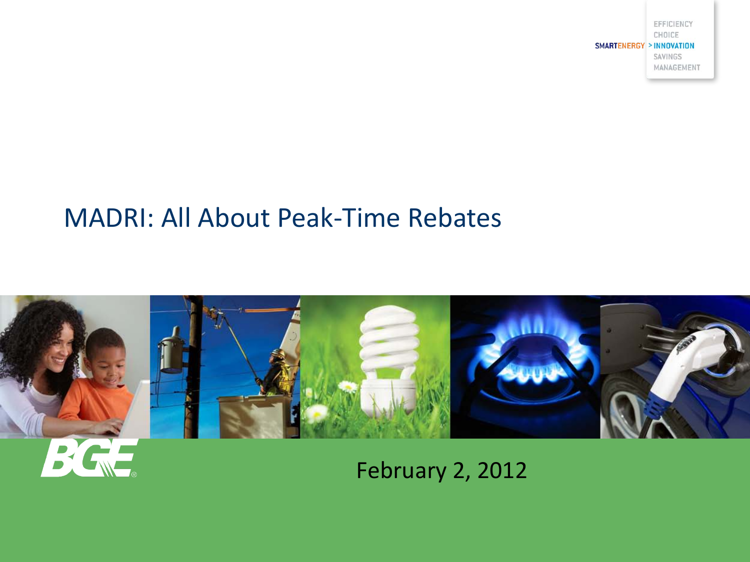EFFICIENCY CHOICE **SMARTENERGY > INNOVATION** SAVINGS MANAGEMENT

#### MADRI: All About Peak-Time Rebates



#### February 2, 2012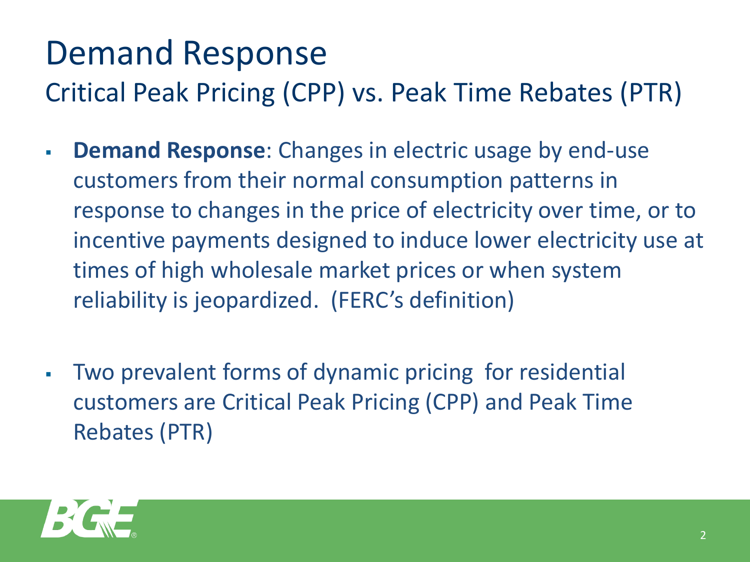# Demand Response

Critical Peak Pricing (CPP) vs. Peak Time Rebates (PTR)

- **Demand Response**: Changes in electric usage by end-use customers from their normal consumption patterns in response to changes in the price of electricity over time, or to incentive payments designed to induce lower electricity use at times of high wholesale market prices or when system reliability is jeopardized. (FERC's definition)
- Two prevalent forms of dynamic pricing for residential customers are Critical Peak Pricing (CPP) and Peak Time Rebates (PTR)

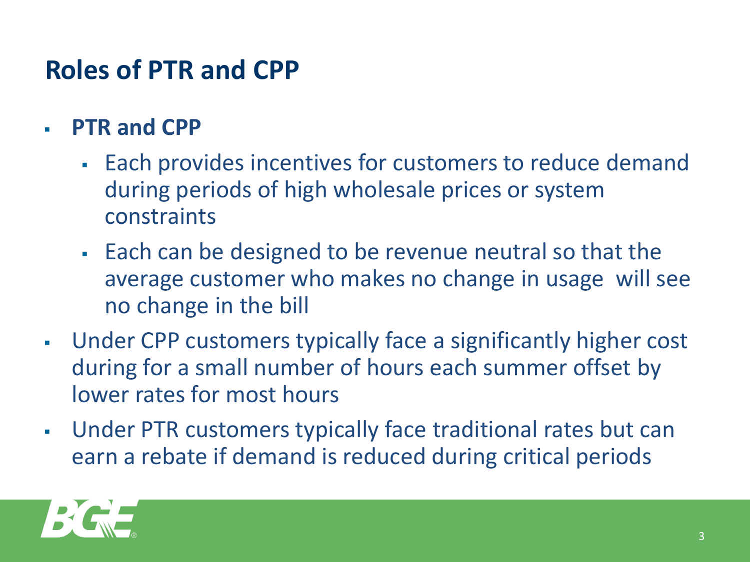# **Roles of PTR and CPP**

- **PTR and CPP** 
	- Each provides incentives for customers to reduce demand during periods of high wholesale prices or system constraints
	- Each can be designed to be revenue neutral so that the average customer who makes no change in usage will see no change in the bill
- Under CPP customers typically face a significantly higher cost during for a small number of hours each summer offset by lower rates for most hours
- Under PTR customers typically face traditional rates but can earn a rebate if demand is reduced during critical periods

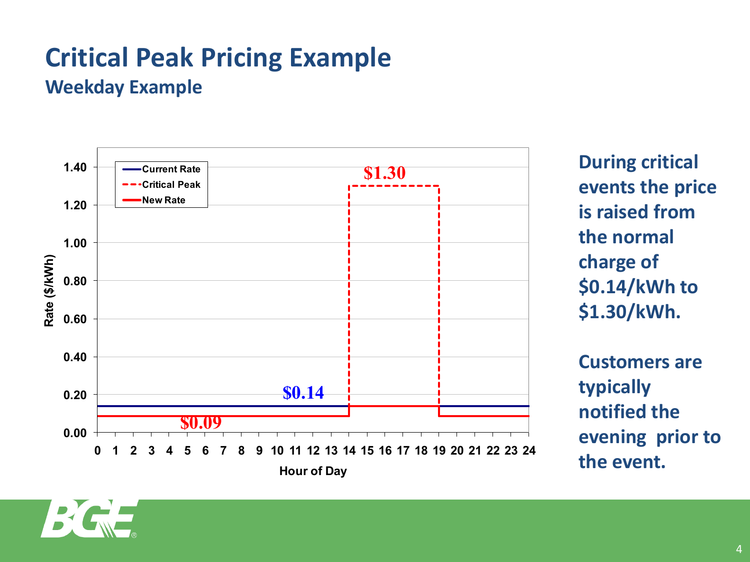#### **Critical Peak Pricing Example Weekday Example**



**During critical events the price is raised from the normal charge of \$0.14/kWh to \$1.30/kWh.**

**Customers are typically notified the evening prior to the event.**

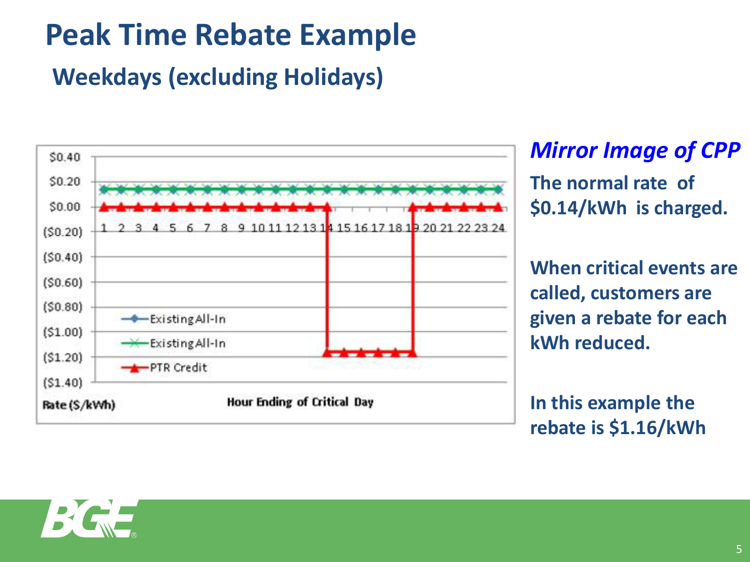# **Peak Time Rebate Example**

## **Weekdays (excluding Holidays)**



*Mirror Image of CPP*  **The normal rate of \$0.14/kWh is charged.** 

**When critical events are called, customers are given a rebate for each kWh reduced.** 

**In this example the rebate is \$1.16/kWh**

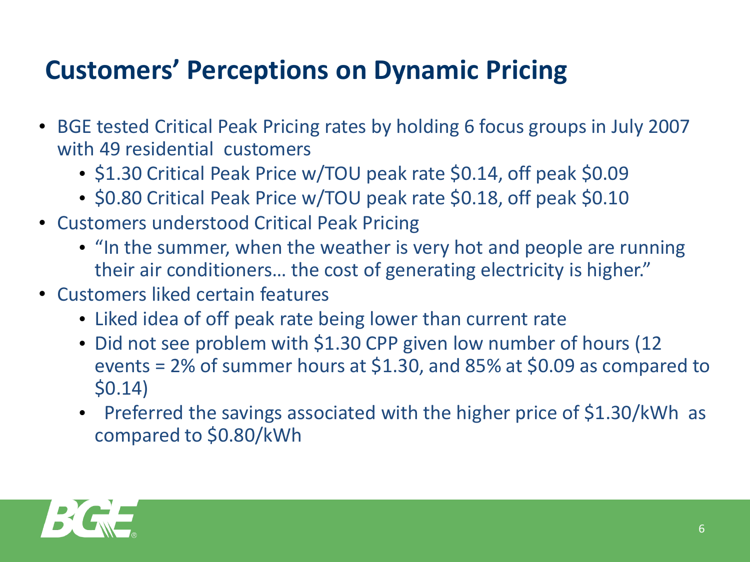# **Customers' Perceptions on Dynamic Pricing**

- BGE tested Critical Peak Pricing rates by holding 6 focus groups in July 2007 with 49 residential customers
	- \$1.30 Critical Peak Price w/TOU peak rate \$0.14, off peak \$0.09
	- \$0.80 Critical Peak Price w/TOU peak rate \$0.18, off peak \$0.10
- Customers understood Critical Peak Pricing
	- "In the summer, when the weather is very hot and people are running their air conditioners… the cost of generating electricity is higher."
- Customers liked certain features
	- Liked idea of off peak rate being lower than current rate
	- Did not see problem with \$1.30 CPP given low number of hours (12 events = 2% of summer hours at \$1.30, and 85% at \$0.09 as compared to \$0.14)
	- Preferred the savings associated with the higher price of \$1.30/kWh as compared to \$0.80/kWh

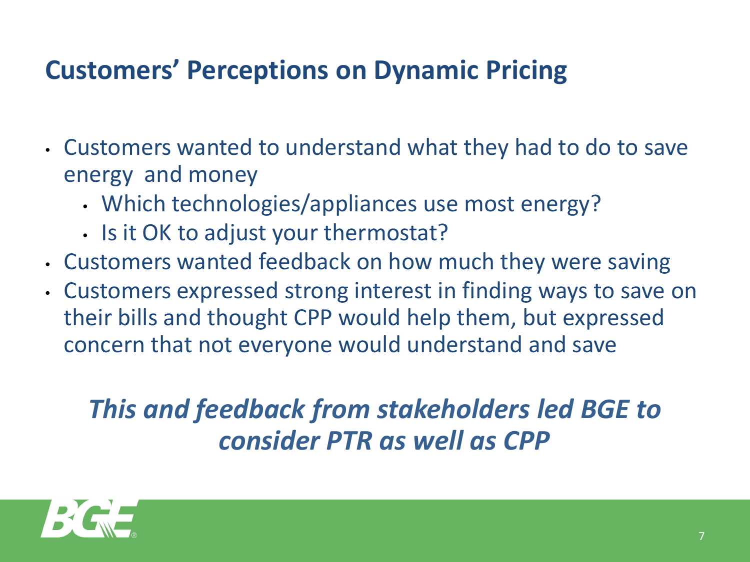# **Customers' Perceptions on Dynamic Pricing**

- Customers wanted to understand what they had to do to save energy and money
	- Which technologies/appliances use most energy?
	- Is it OK to adjust your thermostat?
- Customers wanted feedback on how much they were saving
- Customers expressed strong interest in finding ways to save on their bills and thought CPP would help them, but expressed concern that not everyone would understand and save

# *This and feedback from stakeholders led BGE to consider PTR as well as CPP*

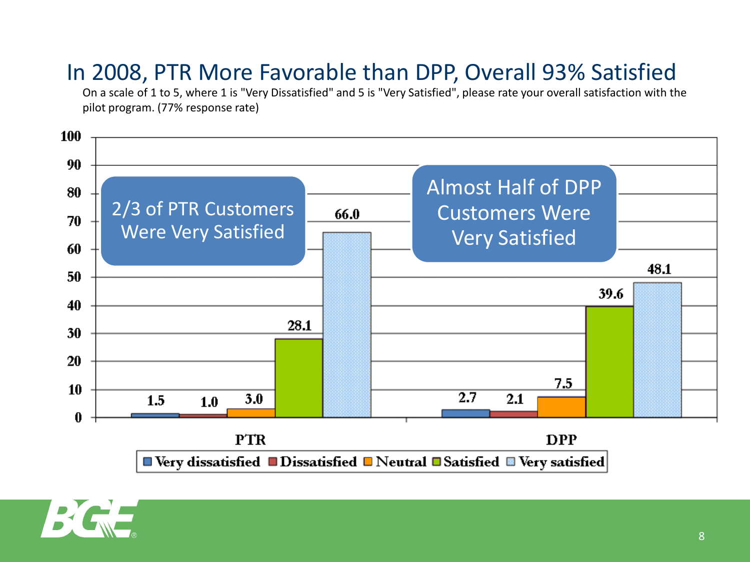### In 2008, PTR More Favorable than DPP, Overall 93% Satisfied

On a scale of 1 to 5, where 1 is "Very Dissatisfied" and 5 is "Very Satisfied", please rate your overall satisfaction with the pilot program. (77% response rate)



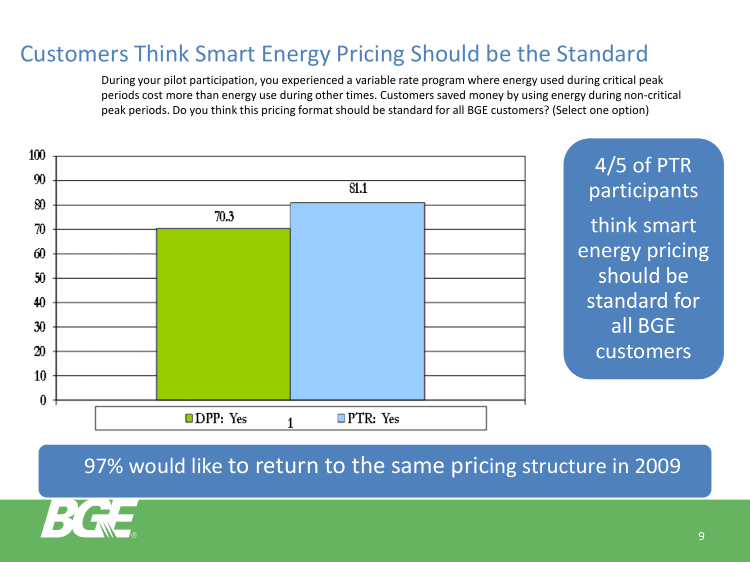#### Customers Think Smart Energy Pricing Should be the Standard

During your pilot participation, you experienced a variable rate program where energy used during critical peak periods cost more than energy use during other times. Customers saved money by using energy during non-critical peak periods. Do you think this pricing format should be standard for all BGE customers? (Select one option)



4/5 of PTR participants think smart energy pricing should be standard for all BGE customers

#### 97% would like to return to the same pricing structure in 2009

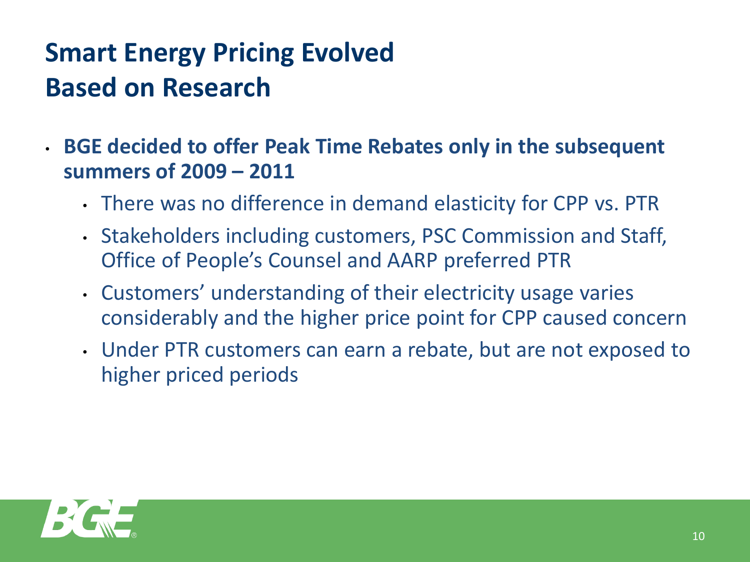# **Smart Energy Pricing Evolved Based on Research**

• **BGE decided to offer Peak Time Rebates only in the subsequent summers of 2009 – 2011**

- There was no difference in demand elasticity for CPP vs. PTR
- Stakeholders including customers, PSC Commission and Staff, Office of People's Counsel and AARP preferred PTR
- Customers' understanding of their electricity usage varies considerably and the higher price point for CPP caused concern
- Under PTR customers can earn a rebate, but are not exposed to higher priced periods

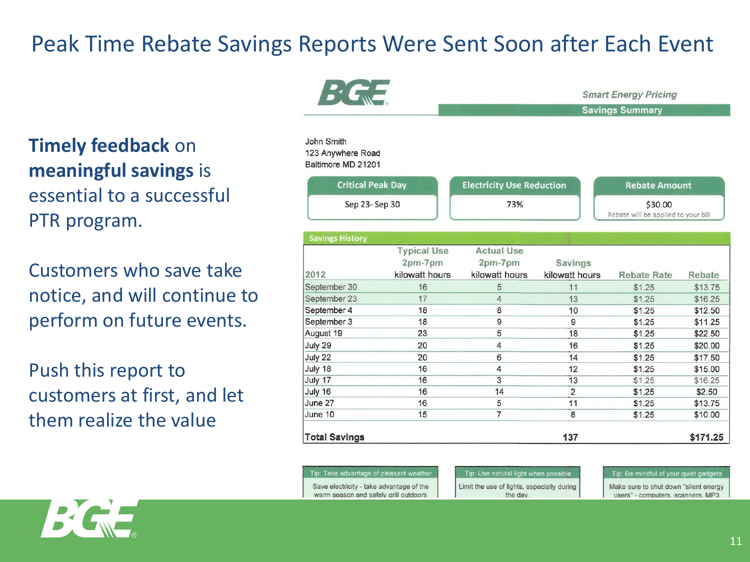#### Peak Time Rebate Savings Reports Were Sent Soon after Each Event

**Timely feedback** on **meaningful savings** is essential to a successful PTR program.

Customers who save take notice, and will continue to perform on future events.

Push this report to customers at first, and let them realize the value

| $E$ $C_{\rm w}$                                       |                                                 | <b>Smart Energy Pricing</b>                    |                                  |                                                |          |  |  |
|-------------------------------------------------------|-------------------------------------------------|------------------------------------------------|----------------------------------|------------------------------------------------|----------|--|--|
|                                                       |                                                 |                                                |                                  | <b>Savings Summary</b>                         |          |  |  |
| John Smith<br>123 Anywhere Road<br>Baltimore MD 21201 |                                                 |                                                |                                  |                                                |          |  |  |
| <b>Critical Peak Day</b>                              |                                                 | <b>Electricity Use Reduction</b>               |                                  | <b>Rebate Amount</b>                           |          |  |  |
| Sep 23-Sep 30                                         |                                                 | 73%                                            |                                  | \$30.00<br>Rebate will be applied to your bill |          |  |  |
| <b>Savings History</b>                                |                                                 |                                                |                                  |                                                |          |  |  |
| 2012                                                  | <b>Typical Use</b><br>2pm-7pm<br>kilowatt hours | <b>Actual Use</b><br>2pm-7pm<br>kilowatt hours | <b>Savings</b><br>kilowatt hours | <b>Rebate Rate</b>                             | Rebate   |  |  |
| September 30                                          | 16                                              | 5                                              | 11                               | \$1.25                                         | \$13.75  |  |  |
| September 23                                          | 17                                              | $\overline{4}$                                 | 13                               | \$1.25                                         | \$16.25  |  |  |
| September 4                                           | 18                                              | 8                                              | 10                               | \$1.25                                         | \$12.50  |  |  |
| September 3                                           | 18                                              | 9                                              | 9                                | \$1.25                                         | \$11.25  |  |  |
| August 19                                             | 23                                              | 5                                              | 18                               | \$1.25                                         | \$22.50  |  |  |
| July 29                                               | 20                                              | 4                                              | 16                               | \$1.25                                         | \$20.00  |  |  |
| July 22                                               | 20                                              | 6                                              | 14                               | \$1.25                                         | \$17.50  |  |  |
| July 18                                               | 16                                              | 4                                              | 12                               | \$1.25                                         | \$15.00  |  |  |
| July 17                                               | 16                                              | 3                                              | 13                               | \$1.25                                         | \$16.25  |  |  |
| July 16                                               | 16                                              | 14                                             | $\overline{2}$                   | \$1.25                                         | \$2.50   |  |  |
| June 27                                               | 16                                              | 5                                              | 11                               | \$1.25                                         | \$13.75  |  |  |
| June 10                                               | 15                                              | $\overline{7}$                                 | 8                                | \$1.25                                         | \$10.00  |  |  |
| <b>Total Savings</b>                                  |                                                 |                                                | 137                              |                                                | \$171.25 |  |  |

| Tip: Take advantage of pleasant weather  |
|------------------------------------------|
| Save electricity - take advantage of the |
| warm season and safely grill outdoors    |

Tip: Use natural light when possible Limit the use of lights, especially during the day

Tip: Be mindful of your quiet gadge

Make sure to shut down "silent energy users" - computers, scanners, MP3

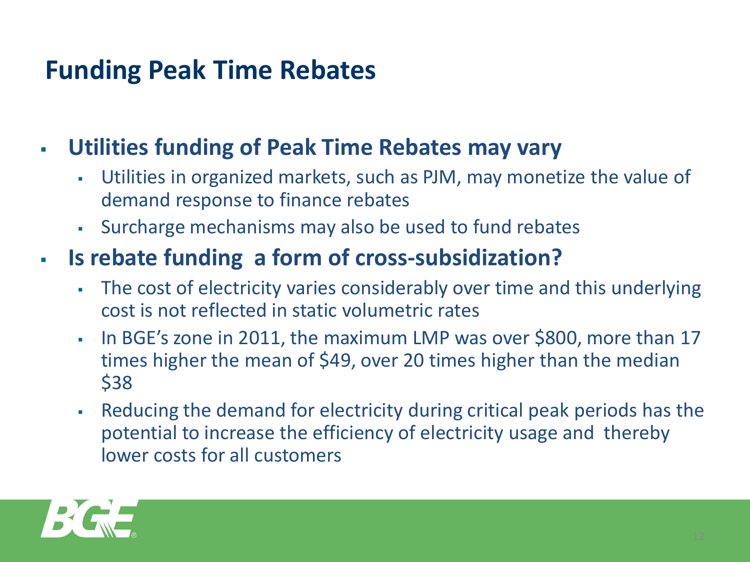# **Funding Peak Time Rebates**

#### **Utilities funding of Peak Time Rebates may vary**

- Utilities in organized markets, such as PJM, may monetize the value of demand response to finance rebates
- Surcharge mechanisms may also be used to fund rebates

### **Is rebate funding a form of cross-subsidization?**

- The cost of electricity varies considerably over time and this underlying cost is not reflected in static volumetric rates
- . In BGE's zone in 2011, the maximum LMP was over \$800, more than 17 times higher the mean of \$49, over 20 times higher than the median \$38
- Reducing the demand for electricity during critical peak periods has the potential to increase the efficiency of electricity usage and thereby lower costs for all customers

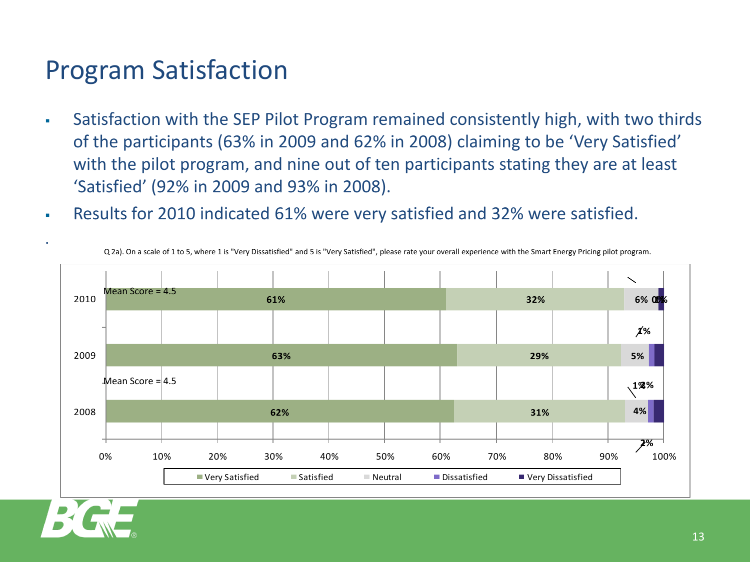## Program Satisfaction

- Satisfaction with the SEP Pilot Program remained consistently high, with two thirds of the participants (63% in 2009 and 62% in 2008) claiming to be 'Very Satisfied' with the pilot program, and nine out of ten participants stating they are at least 'Satisfied' (92% in 2009 and 93% in 2008).
- Results for 2010 indicated 61% were very satisfied and 32% were satisfied.



Q 2a). On a scale of 1 to 5, where 1 is "Very Dissatisfied" and 5 is "Very Satisfied", please rate your overall experience with the Smart Energy Pricing pilot program.



.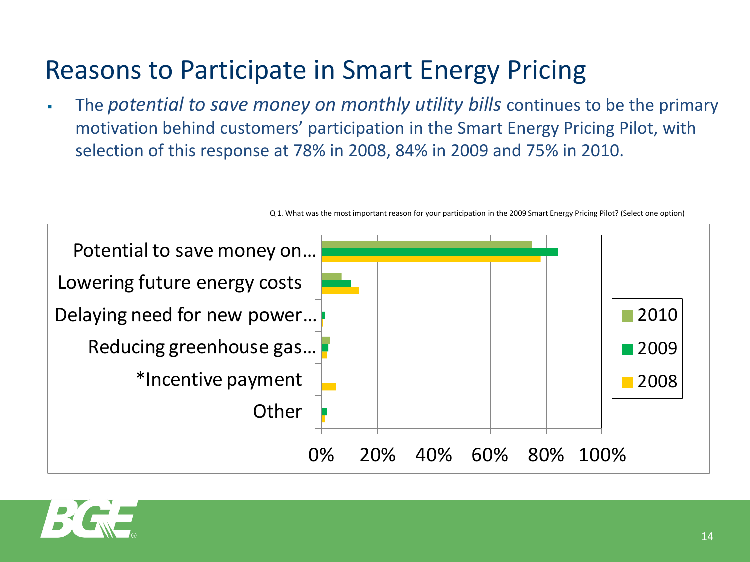# Reasons to Participate in Smart Energy Pricing

 The *potential to save money on monthly utility bills* continues to be the primary motivation behind customers' participation in the Smart Energy Pricing Pilot, with selection of this response at 78% in 2008, 84% in 2009 and 75% in 2010.





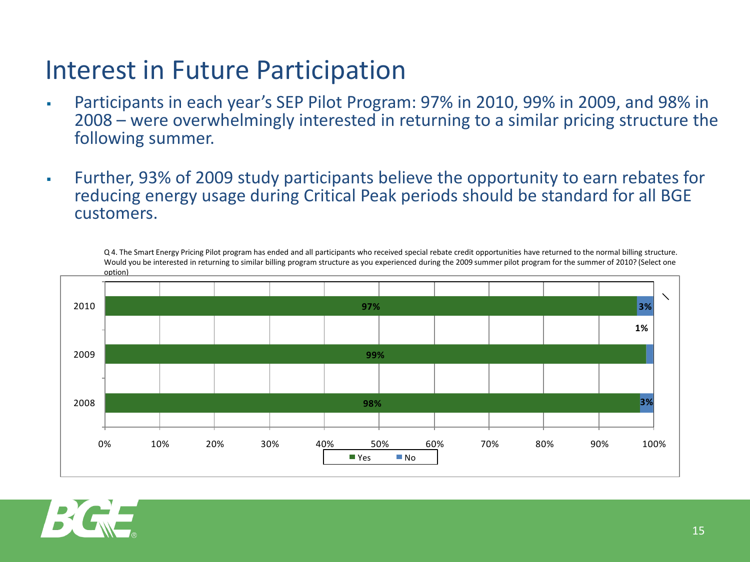## Interest in Future Participation

- Participants in each year's SEP Pilot Program: 97% in 2010, 99% in 2009, and 98% in 2008 – were overwhelmingly interested in returning to a similar pricing structure the following summer.
- Further, 93% of 2009 study participants believe the opportunity to earn rebates for reducing energy usage during Critical Peak periods should be standard for all BGE customers.

Q 4. The Smart Energy Pricing Pilot program has ended and all participants who received special rebate credit opportunities have returned to the normal billing structure. Would you be interested in returning to similar billing program structure as you experienced during the 2009 summer pilot program for the summer of 2010? (Select one option)



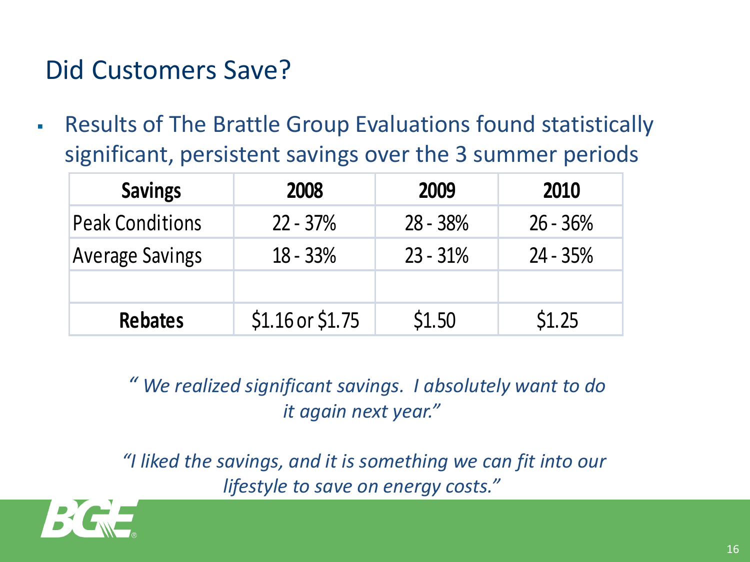# Did Customers Save?

 Results of The Brattle Group Evaluations found statistically significant, persistent savings over the 3 summer periods

| <b>Savings</b>         | 2008               | 2009       | 2010       |  |
|------------------------|--------------------|------------|------------|--|
| <b>Peak Conditions</b> | $22 - 37%$         | $28 - 38%$ | $26 - 36%$ |  |
| <b>Average Savings</b> | $18 - 33%$         | $23 - 31%$ | $24 - 35%$ |  |
|                        |                    |            |            |  |
| <b>Rebates</b>         | $$1.16$ or $$1.75$ | \$1.50     | \$1.25     |  |

 *" We realized significant savings. I absolutely want to do it again next year."*

*"I liked the savings, and it is something we can fit into our lifestyle to save on energy costs."*

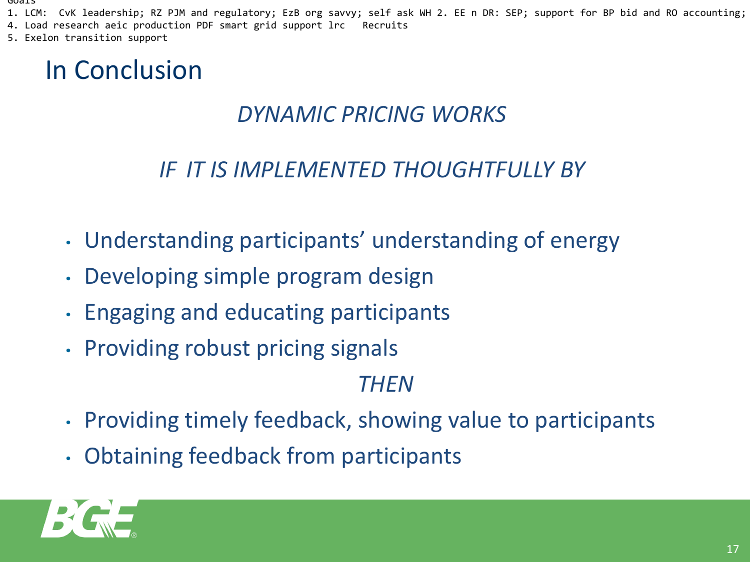#### Goals

- 1. LCM: CvK leadership; RZ PJM and regulatory; EzB org savvy; self ask WH 2. EE n DR: SEP; support for BP bid and RO accounting;
- 4. Load research aeic production PDF smart grid support lrc Recruits
- 5. Exelon transition support

# In Conclusion

#### *DYNAMIC PRICING WORKS*

#### *IF IT IS IMPLEMENTED THOUGHTFULLY BY*

- Understanding participants' understanding of energy
- Developing simple program design
- Engaging and educating participants
- Providing robust pricing signals

#### *THEN*

- Providing timely feedback, showing value to participants
- Obtaining feedback from participants

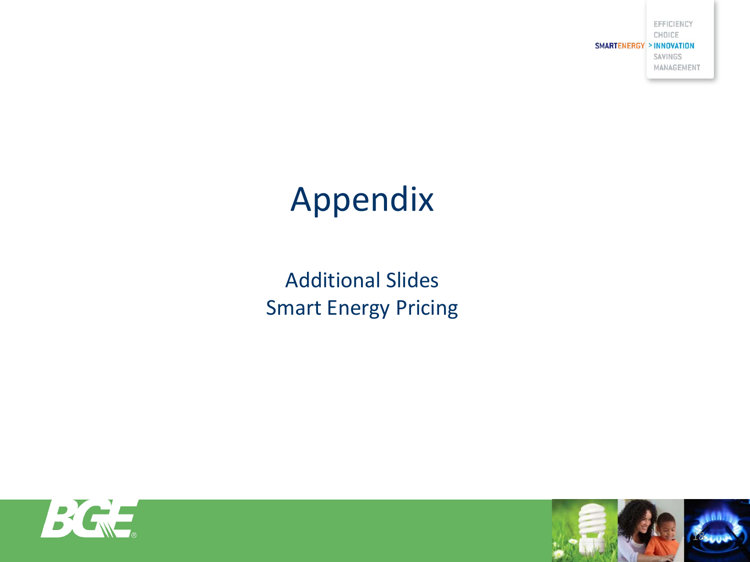EFFICIENCY CHOICE **SMARTENERGY > INNOVATION** SAVINGS MANAGEMENT

# Appendix

Additional Slides Smart Energy Pricing



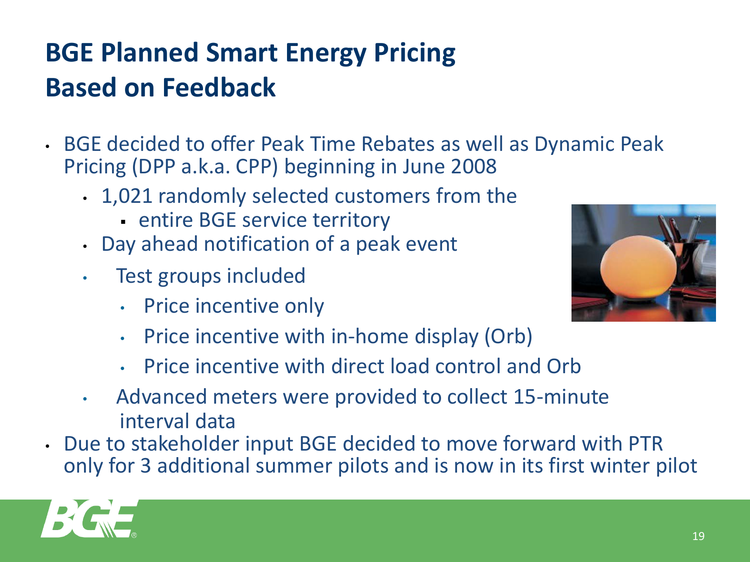# **BGE Planned Smart Energy Pricing Based on Feedback**

- BGE decided to offer Peak Time Rebates as well as Dynamic Peak Pricing (DPP a.k.a. CPP) beginning in June 2008
	- 1,021 randomly selected customers from the
		- **entire BGE service territory**
	- Day ahead notification of a peak event
	- Test groups included
		- **Price incentive only**



- Price incentive with in-home display (Orb)
- Price incentive with direct load control and Orb
- Advanced meters were provided to collect 15-minute interval data
- Due to stakeholder input BGE decided to move forward with PTR only for 3 additional summer pilots and is now in its first winter pilot

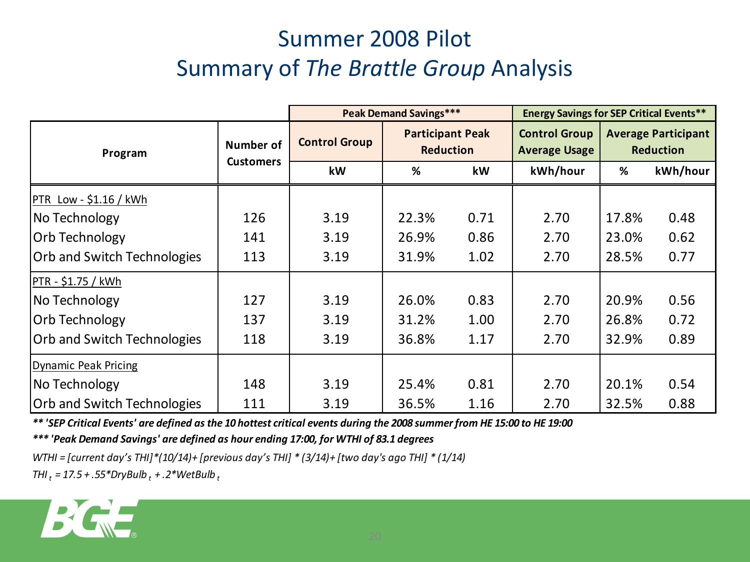## Summer 2008 Pilot Summary of *The Brattle Group* Analysis

|                                    |                               | <b>Peak Demand Savings***</b> |                                             |      | <b>Energy Savings for SEP Critical Events**</b> |                                                |          |
|------------------------------------|-------------------------------|-------------------------------|---------------------------------------------|------|-------------------------------------------------|------------------------------------------------|----------|
| Program                            | Number of<br><b>Customers</b> | <b>Control Group</b>          | <b>Participant Peak</b><br><b>Reduction</b> |      | <b>Control Group</b><br><b>Average Usage</b>    | <b>Average Participant</b><br><b>Reduction</b> |          |
|                                    |                               | kW                            | %                                           | kW   | kWh/hour                                        | %                                              | kWh/hour |
| PTR Low - $$1.16 /$ kWh            |                               |                               |                                             |      |                                                 |                                                |          |
| No Technology                      | 126                           | 3.19                          | 22.3%                                       | 0.71 | 2.70                                            | 17.8%                                          | 0.48     |
| <b>Orb Technology</b>              | 141                           | 3.19                          | 26.9%                                       | 0.86 | 2.70                                            | 23.0%                                          | 0.62     |
| <b>Orb and Switch Technologies</b> | 113                           | 3.19                          | 31.9%                                       | 1.02 | 2.70                                            | 28.5%                                          | 0.77     |
| PTR - \$1.75 / kWh                 |                               |                               |                                             |      |                                                 |                                                |          |
| No Technology                      | 127                           | 3.19                          | 26.0%                                       | 0.83 | 2.70                                            | 20.9%                                          | 0.56     |
| Orb Technology                     | 137                           | 3.19                          | 31.2%                                       | 1.00 | 2.70                                            | 26.8%                                          | 0.72     |
| <b>Orb and Switch Technologies</b> | 118                           | 3.19                          | 36.8%                                       | 1.17 | 2.70                                            | 32.9%                                          | 0.89     |
| Dynamic Peak Pricing               |                               |                               |                                             |      |                                                 |                                                |          |
| No Technology                      | 148                           | 3.19                          | 25.4%                                       | 0.81 | 2.70                                            | 20.1%                                          | 0.54     |
| <b>Orb and Switch Technologies</b> | 111                           | 3.19                          | 36.5%                                       | 1.16 | 2.70                                            | 32.5%                                          | 0.88     |

*\*\* 'SEP Critical Events' are defined as the 10 hottest critical events during the 2008 summer from HE 15:00 to HE 19:00* 

*\*\*\* 'Peak Demand Savings' are defined as hour ending 17:00, for WTHI of 83.1 degrees*

*WTHI = [current day's THI]\*(10/14)+ [previous day's THI] \* (3/14)+ [two day's ago THI] \* (1/14)*

*THI t = 17.5 + .55\*DryBulb t + .2\*WetBulb <sup>t</sup>*

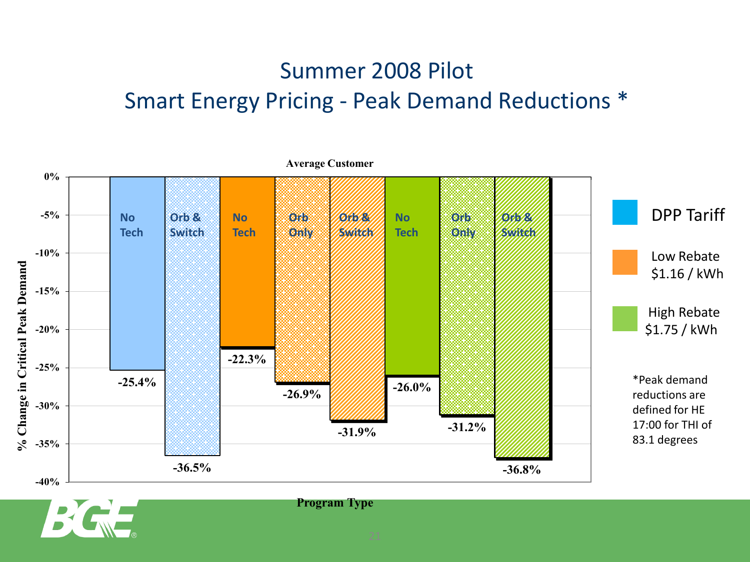### Summer 2008 Pilot Smart Energy Pricing - Peak Demand Reductions \*



**Program Type**